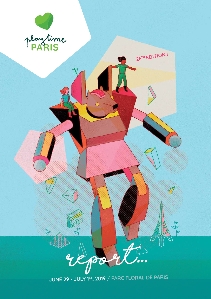

 $\partial$ 

 $\mathbf{e}_{\mathbf{f}}$ 

pod JUNE 29 - JULY 1ST, 2019 / PARC FLORAL DE PARIS

 $A$ 

26TH EDITION!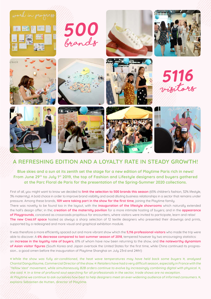

## **A REFRESHING EDITION AND A LOYALTY RATE IN STEADY GROWTH!**

**Blue skies and a sun at its zenith set the stage for a new edition of Playtime Paris rich in news! From June 29th to July 1st 2019, the top of Fashion and Lifestyle designers and buyers gathered at the Parc Floral de Paris for the presentation of the Spring-Summer 2020 collections.** 

First of all, you might want to know we decided to **limit the selection to 500 brands this season** (65% children's fashion, 32% lifestyle, 3% maternity). A bold choice in order to improve brand visibility and avoid diluting business relationships in a sector that remains under pressure. Among these brands, **109 were taking part in the show for the first time**, joining the Playtime family. There was noveltu to be found too in the layout, with the *inauguration of the lifestule showrooms* which naturally extended the hall's design offer; in the; **creation of the maternity pavilion** for a more intimate hosting of buyers; and in the **appearance of Playgrounds**, conceived as crossroads propitious for encounters, where visitors were invited to participate, learn and relax! **The new Crea.tif space** hosted as always a sharp selection of 12 textile designers who presented their drawings and prints, supported by a redesigned and more visual and graphical exhibition module.

It was therefore a more efficiently spaced out and more vibrant show which the **5,116 professional visitors** who made the trip were able to discover. A **6% decrease compared to last summer season of 2018**, tempered however by two encouraging statistics: an **increase in the loyalty rate of buyers**, 61% of whom have now been returning to the show, and **the noteworthy dynamism of Asian visitor figures** (South Korea and Japan overtook the United States for the first time, while China continued its progression... a good omen before the inauguration of Playtime Shanghai on July 23rd and 24th!)

« While the show was fully air-conditioned, the heat wave temperatures may have held back some buyers », analysed Chantal Danguillaume, Commercial Director of the show. « Retailers have had a very difficult season, especially in France with the 'Yellow Vest' movement, while simultaneously B2B orders continue to evolve by increasingly combining digital with physical. », she said. « In a time of profound soul-searching for all professionals in the sector, trade shows are no exception. At Playtime we continue to ask ourselves how best to help designers meet an ever-widening audience of informed consumers. », explains Sébastien de Hutten, director of Playtime.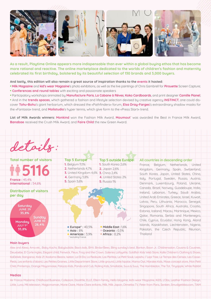

**As a result, Playtime Online appears more indispensable than ever within a global buying ethos that has become more rational and reactive. The online marketplace dedicated to the worlds of children's fashion and maternity celebrated its first birthday, bolstered by its beautiful selection of 130 brands and 3,000 buyers.** 

**And lastly, this edition will also remain a great source of inspiration thanks to the events it hosted:**

- **• Milk Magazine** and **kid's wear Magazine**'s photo exhibitions, as well as the live paintings of Chris Gambrell for **Pirouette** Screen Capture; **• Conferences and round tables** with exciting and passionate speakers
- **•** Participatory workshops animated by **Manufacture Paris**, **La Cabane à Rêves**, **Koko Cardboards**, and print designer **Camille Pianel**;

**•** And in the **trends spaces**, which gathered a fashion and lifestyle selection devised by creative agency **INSTINCT**, one could discover **Tohu-Bohu**'s giant herbarium, which dressed the «Pathfinders» forum, **Elsa Dray-Farges**'s extraordinary shadow masks for the «Fantasia» trend, and **Molistudio**'s hyper tennis, which give form to the «Press Start» trend.

**List of Milk Awards winners: Monkind** won the Fashion Milk Award, **Moumout**' was awarded the Best in France Milk Award, **Banabae** received the Crush Milk Award, and **Faire Child** the new Green Award.



## **All countries in descending order**

France, Belgium, Netherlands, United Kingdom, Germany, Spain, Switzerland, South Korea, Japan, United States, China, Italy, Portugal, Sweden, Russia, Austria, Denmark, Luxembourg, Poland, Ukraine, Canada, Brazil, Norway, Guadeloupe, India, Ireland, Lebanon, Turkey, Saudi Arabia, United Arab Emirates, Greece, Israel, Kuwait, Latvia, Peru, Lithuania, Morocco, Senegal, Singapore, South Africa, Australia, Croatia, Estonia, Iceland, Macau, Martinique, Mexico, Qatar, Romania, Serbia and Montenegro, Chile, Cuprus, Ecuador, Hong Kong, Aland Islands, Kazakhstan, Liechtenstein, Nigeria, Pakistan, the Czech Republic, Réunion,

## **Main buyers**

**DEtails :**

Alex and Alexa, Ama etc., Baby Kochs, Babybubble, Bao's kids, BHV, Birdsn'Bees, Bling sunday's best, Bonton, Boon Jr., Childrensalon, Cousins & Cousines, Deuxbebe, El Corte Ingles, Elegant child, Fenwick, Fleux, Frog and the Crown, Galeries Lafayette, Goldfish Kids Web Store, Kalle Children's Clothing & Shoes, KaDeWe, Kangaroo, Kids 21, Kodomo Beans, Isetan, La Di Da, La Redoute, Las Perlitas, Le Petit Souk, Lepishu / Lepi Tree, Le Temps des Cerises, Les Casse-Pieds, Les enfants d'abord, Les Petites Graines, Little Department Store, Little ground, Little hipstar, Mama Owl, Maralex Kids, Mase concept store, Mon Petit Child, Printemps, Orange Mayonnaise, Palazzo Kids, Panda and Cub, Rolling Kids, Smallable, Suus & Suus, The Hambledon, The Tot, Tinyapple, White Rabbit

## **Medias**

Air France Madame, Childhood Business, Collezioni, Doolittle, ELLE, Eltern family, Hello blogzine, kid's wear Magazine, KiDS, L'Obs, Leather Fashion Design, Little, Luna, M6 television, Magicmaman, Marie Claire, Marie Claire enfants, Milk, Milk Japon, Otmetka TV, Peter from Paris, Senken, Smudgetikka.com, TIAM